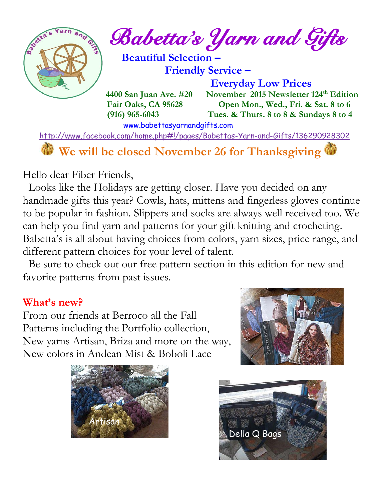

*Babetta's Yarn and Gifts* 

 **Beautiful Selection – Friendly Service –**

 **Everyday Low Prices 4400 San Juan Ave. #20 November 2015 Newsletter 124<sup>th</sup> Edition Fair Oaks, CA 95628 Open Mon., Wed., Fri. & Sat. 8 to 6 (916) 965-6043 Tues. & Thurs. 8 to 8 & Sundays 8 to 4** 

[www.babettasyarnandgifts.com](http://www.babettasyarnandgifts.com/)

<http://www.facebook.com/home.php#!/pages/Babettas-Yarn-and-Gifts/136290928302>

### **We will be closed November 26 for Thanksgiving**

Hello dear Fiber Friends,

 Looks like the Holidays are getting closer. Have you decided on any handmade gifts this year? Cowls, hats, mittens and fingerless gloves continue to be popular in fashion. Slippers and socks are always well received too. We can help you find yarn and patterns for your gift knitting and crocheting. Babetta's is all about having choices from colors, yarn sizes, price range, and different pattern choices for your level of talent.

 Be sure to check out our free pattern section in this edition for new and favorite patterns from past issues.

#### **What's new?**

From our friends at Berroco all the Fall Patterns including the Portfolio collection, New yarns Artisan, Briza and more on the way, New colors in Andean Mist & Boboli Lace





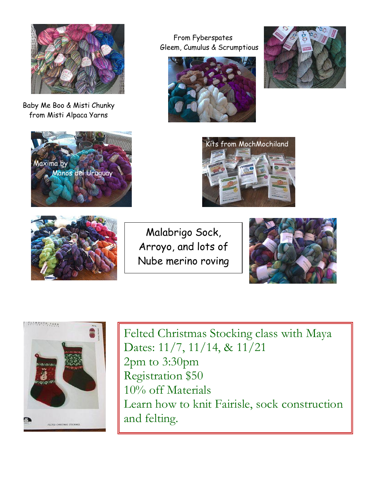

Baby Me Boo & Misti Chunky from Misti Alpaca Yarns





From Fyberspates Gleem, Cumulus & Scrumptious







Malabrigo Sock, Arroyo, and lots of Nube merino roving





Felted Christmas Stocking class with Maya Dates: 11/7, 11/14, & 11/21 2pm to 3:30pm Registration \$50 10% off Materials Learn how to knit Fairisle, sock construction and felting.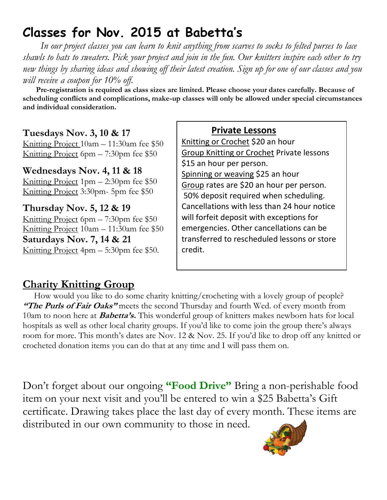## **Classes for Nov. 2015 at Babetta's**

 *In our project classes you can learn to knit anything from scarves to socks to felted purses to lace shawls to hats to sweaters. Pick your project and join in the fun. Our knitters inspire each other to try new things by sharing ideas and showing off their latest creation. Sign up for one of our classes and you will receive a coupon for 10% off.*

 **Pre-registration is required as class sizes are limited. Please choose your dates carefully. Because of scheduling conflicts and complications, make-up classes will only be allowed under special circumstances and individual consideration.**

#### **Tuesdays Nov. 3, 10 & 17**

Knitting Project 10am – 11:30am fee \$50 Knitting Project 6pm – 7:30pm fee \$50

#### **Wednesdays Nov. 4, 11 & 18**

Knitting Project 1pm – 2:30pm fee \$50 Knitting Project 3:30pm- 5pm fee \$50

**Thursday Nov. 5, 12 & 19** Knitting Project 6pm – 7:30pm fee \$50 Knitting Project 10am – 11:30am fee \$50 **Saturdays Nov. 7, 14 & 21** Knitting Project 4pm – 5:30pm fee \$50.

 **Private Lessons**  Knitting or Crochet \$20 an hour Group Knitting or Crochet Private lessons \$15 an hour per person. Spinning or weaving \$25 an hour Group rates are \$20 an hour per person. 50% deposit required when scheduling. Cancellations with less than 24 hour notice will forfeit deposit with exceptions for emergencies. Other cancellations can be transferred to rescheduled lessons or store credit.

#### **Charity Knitting Group**

 How would you like to do some charity knitting/crocheting with a lovely group of people? **"The Purls of Fair Oaks"** meets the second Thursday and fourth Wed. of every month from 10am to noon here at **Babetta's.** This wonderful group of knitters makes newborn hats for local hospitals as well as other local charity groups. If you'd like to come join the group there's always room for more. This month's dates are Nov. 12 & Nov. 25. If you'd like to drop off any knitted or crocheted donation items you can do that at any time and I will pass them on.

Don't forget about our ongoing **"Food Drive"** Bring a non-perishable food item on your next visit and you'll be entered to win a \$25 Babetta's Gift certificate. Drawing takes place the last day of every month. These items are distributed in our own community to those in need.

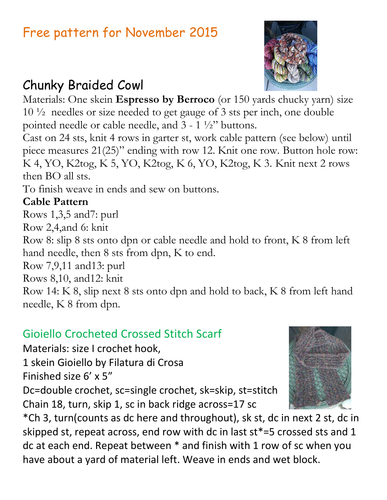# Free pattern for November 2015

### Chunky Braided Cowl

Materials: One skein **Espresso by Berroco** (or 150 yards chucky yarn) size 10 ½ needles or size needed to get gauge of 3 sts per inch, one double pointed needle or cable needle, and 3 - 1 ½" buttons.

Cast on 24 sts, knit 4 rows in garter st, work cable pattern (see below) until piece measures 21(25)" ending with row 12. Knit one row. Button hole row: K 4, YO, K2tog, K 5, YO, K2tog, K 6, YO, K2tog, K 3. Knit next 2 rows then BO all sts.

To finish weave in ends and sew on buttons.

#### **Cable Pattern**

Rows 1,3,5 and7: purl

Row 2,4,and 6: knit

Row 8: slip 8 sts onto dpn or cable needle and hold to front, K 8 from left hand needle, then 8 sts from dpn, K to end.

Row 7,9,11 and13: purl

Rows 8,10, and12: knit

Row 14: K 8, slip next 8 sts onto dpn and hold to back, K 8 from left hand needle, K 8 from dpn.

#### Gioiello Crocheted Crossed Stitch Scarf

Materials: size I crochet hook, 1 skein Gioiello by Filatura di Crosa Finished size 6' x 5"

Dc=double crochet, sc=single crochet, sk=skip, st=stitch Chain 18, turn, skip 1, sc in back ridge across=17 sc

\*Ch 3, turn(counts as dc here and throughout), sk st, dc in next 2 st, dc in skipped st, repeat across, end row with dc in last st\*=5 crossed sts and 1 dc at each end. Repeat between \* and finish with 1 row of sc when you have about a yard of material left. Weave in ends and wet block.



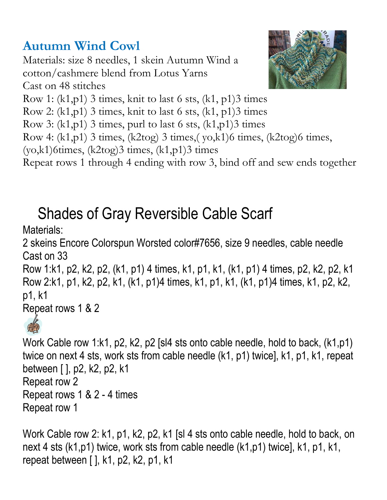### **Autumn Wind Cowl**

Materials: size 8 needles, 1 skein Autumn Wind a cotton/cashmere blend from Lotus Yarns Cast on 48 stitches



Row 1:  $(k1,p1)$  3 times, knit to last 6 sts,  $(k1, p1)$ 3 times

Row 2:  $(k1,p1)$  3 times, knit to last 6 sts,  $(k1, p1)$ 3 times

Row 3:  $(k1,p1)$  3 times, purl to last 6 sts,  $(k1,p1)$ 3 times

Row 4: (k1,p1) 3 times, (k2tog) 3 times,( yo,k1)6 times, (k2tog)6 times,

```
(yo, k1)6times, (k2tog)3 times, (k1, p1)3 times
```
Repeat rows 1 through 4 ending with row 3, bind off and sew ends together

# Shades of Gray Reversible Cable Scarf

Materials:

2 skeins Encore Colorspun Worsted color#7656, size 9 needles, cable needle Cast on 33

Row 1:k1, p2, k2, p2, (k1, p1) 4 times, k1, p1, k1, (k1, p1) 4 times, p2, k2, p2, k1 Row 2:k1, p1, k2, p2, k1, (k1, p1)4 times, k1, p1, k1, (k1, p1)4 times, k1, p2, k2, p1, k1 Repeat rows 1 & 2

Work Cable row 1:k1, p2, k2, p2 [sl4 sts onto cable needle, hold to back, (k1,p1) twice on next 4 sts, work sts from cable needle (k1, p1) twice], k1, p1, k1, repeat between [ ], p2, k2, p2, k1 Repeat row 2 Repeat rows 1 & 2 - 4 times Repeat row 1

Work Cable row 2: k1, p1, k2, p2, k1 [sl 4 sts onto cable needle, hold to back, on next 4 sts (k1,p1) twice, work sts from cable needle (k1,p1) twice], k1, p1, k1, repeat between [ ], k1, p2, k2, p1, k1